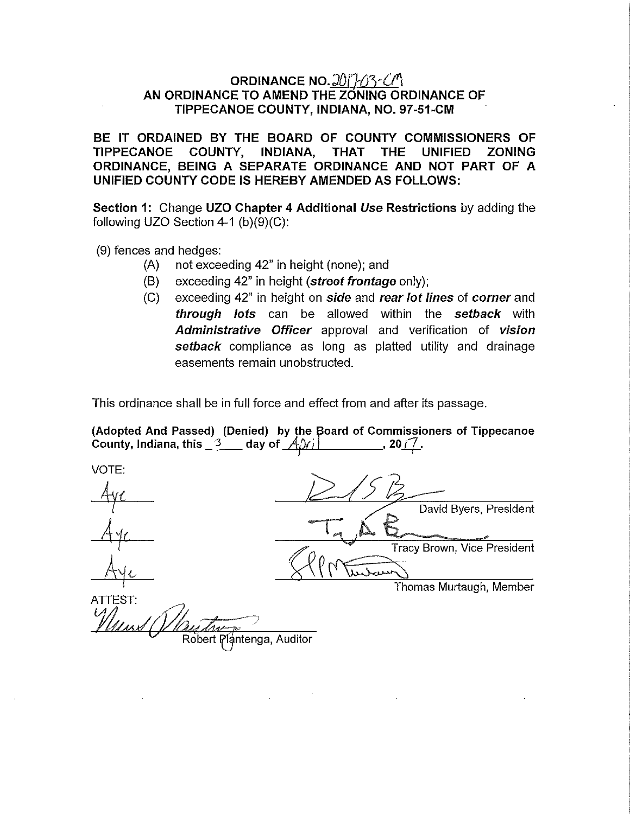### ORDINANCE NO.  $201763 - C$ AN ORDINANCE TO AMEND THE ZONING ORDINANCE OF TIPPECANOE COUNTY, INDIANA, NO. 97-51-CM

BE IT ORDAINED BY THE BOARD OF COUNTY COMMISSIONERS OF TIPPECANOE COUNTY, INDIANA, THAT THE UNIFIED ZONING ORDINANCE, BEING A SEPARATE ORDINANCE AND NOT PART OF A UNIFIED COUNTY CODE IS HEREBY AMENDED AS FOLLOWS:

Section 1: Change UZO Chapter 4 Additional Use Restrictions by adding the following UZO Section  $4-1$  (b) $(9)(C)$ :

(9) fences and hedges:

- (A) not exceeding 42" in height (none); and
- (B) exceeding 42" in height (street frontage only);
- (C) exceeding 42" in height on side and rear lot lines of corner and through lots can be allowed within the setback with Administrative Officer approval and verification of vision setback compliance as long as platted utility and drainage easements remain unobstructed.

This ordinance shall be in full force and effect from and after its passage.

(Adopted And Passed) (Denied) by the Board of Commissioners of Tippecanoe County, Indiana, this  $\frac{3}{2}$  day of  $\frac{A}{V}$  ,  $\frac{1}{2}$  , 2017.

VOTE: David Byers, President Tracy Brown **Tracy Brown, Vice President** Thomas Murtaugh, Member **ATTEST:** Robert Plantenga, Auditor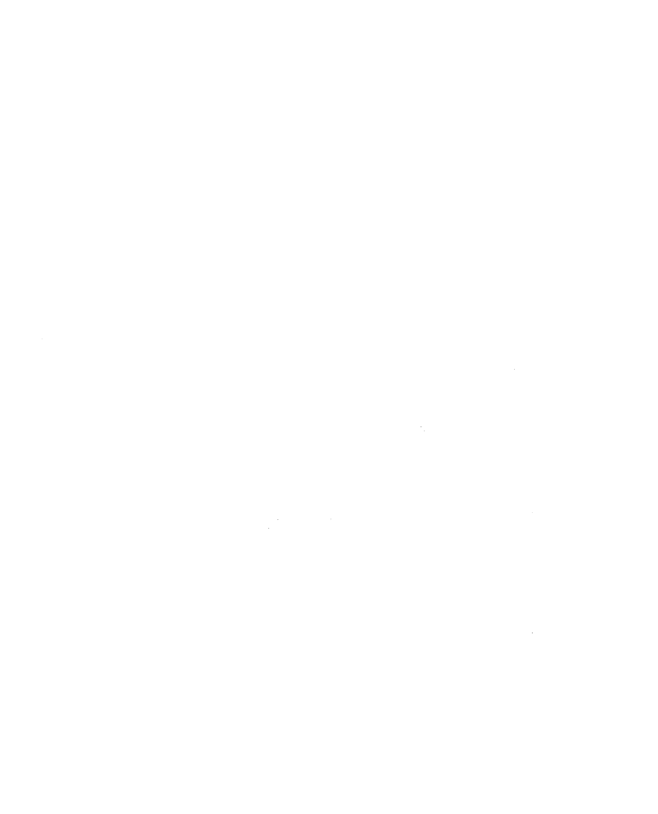$\label{eq:2.1} \frac{1}{\sqrt{2}}\int_{\mathbb{R}^3}\frac{1}{\sqrt{2}}\left(\frac{1}{\sqrt{2}}\right)^2\frac{1}{\sqrt{2}}\left(\frac{1}{\sqrt{2}}\right)^2\frac{1}{\sqrt{2}}\left(\frac{1}{\sqrt{2}}\right)^2\frac{1}{\sqrt{2}}\left(\frac{1}{\sqrt{2}}\right)^2.$ 

 $\label{eq:2.1} \mathcal{L}_{\mathcal{A}}(\mathcal{A})=\mathcal{L}_{\mathcal{A}}(\mathcal{A})\mathcal{L}_{\mathcal{A}}(\mathcal{A})\mathcal{L}_{\mathcal{A}}(\mathcal{A})$ 

 $\label{eq:2.1} \begin{split} \mathcal{L}_{\text{max}}(\mathcal{L}_{\text{max}}(\mathbf{X}, \mathbf{X})) = \mathcal{L}_{\text{max}}(\mathbf{X}, \mathbf{X}) = \mathcal{L}_{\text{max}}(\mathbf{X}, \mathbf{X}) = \mathcal{L}_{\text{max}}(\mathbf{X}, \mathbf{X}) = \mathcal{L}_{\text{max}}(\mathbf{X}, \mathbf{X}) = \mathcal{L}_{\text{max}}(\mathbf{X}, \mathbf{X}) = \mathcal{L}_{\text{max}}(\mathbf{X}, \mathbf{X}) = \mathcal{L}_{\text{max}}(\mathbf{X}, \mathbf{X}) = \mathcal$ 

 $\label{eq:2.1} \frac{1}{\sqrt{2\pi}}\int_{0}^{\infty}\frac{1}{\sqrt{2\pi}}\left(\frac{1}{\sqrt{2\pi}}\right)^{2\alpha} \frac{1}{\sqrt{2\pi}}\int_{0}^{\infty}\frac{1}{\sqrt{2\pi}}\left(\frac{1}{\sqrt{2\pi}}\right)^{\alpha} \frac{1}{\sqrt{2\pi}}\frac{1}{\sqrt{2\pi}}\int_{0}^{\infty}\frac{1}{\sqrt{2\pi}}\frac{1}{\sqrt{2\pi}}\frac{1}{\sqrt{2\pi}}\frac{1}{\sqrt{2\pi}}\frac{1}{\sqrt{2\pi}}\frac{1}{\sqrt{2\$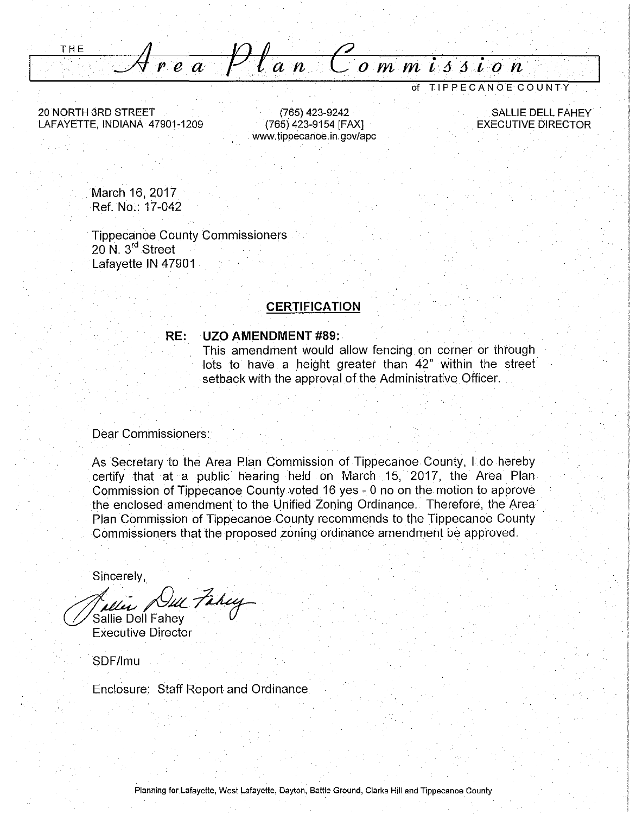<sup>THE</sup> Area Plan Commission of TIPP EC AN 0 E C 0 UN TY

20 NORTH 3RD STREET LAFAYETTE, INDIANA 47901-1209

(765) 423-9242 (765) 423-9154 [FAX] www.tippecanoe.in.gov/apc

SALLIE DELL FAHEY EXECUTIVE DIRECTOR

March 16, 2017 Ref. No.: 17-042

Tippecanoe County Commissioners 20 N. 3<sup>rd</sup> Street Lafayette IN 47901

#### **CERTIFICATION**

### **RE: UZO AMENDMENT** #89:

This amendment would allow fencing on corner or through lots to have a height greater than 42" within the street setback with the approval of the Administrative Officer.

Dear Commissioners:

As Secretary to the Area Plan Commission of Tippecanoe County, I do hereby certify that at a public hearing held on March 15, 2017, the Area Plan Commission of Tippecanoe County voted 16 yes - 0 no on the motion to approve the enclosed amendment to the Unified Zoning Ordinance. Therefore, the Area Plan Commission of Tippecanoe County recommends to the Tippecanoe County Commissioners that the proposed zoning ordinance amendment be approved.

Sincerely,

 $\frac{1}{\text{All}}$  (Sull Fahey )

Executive Director

SDF/lmu

Enclosure: Staff Report and Ordinance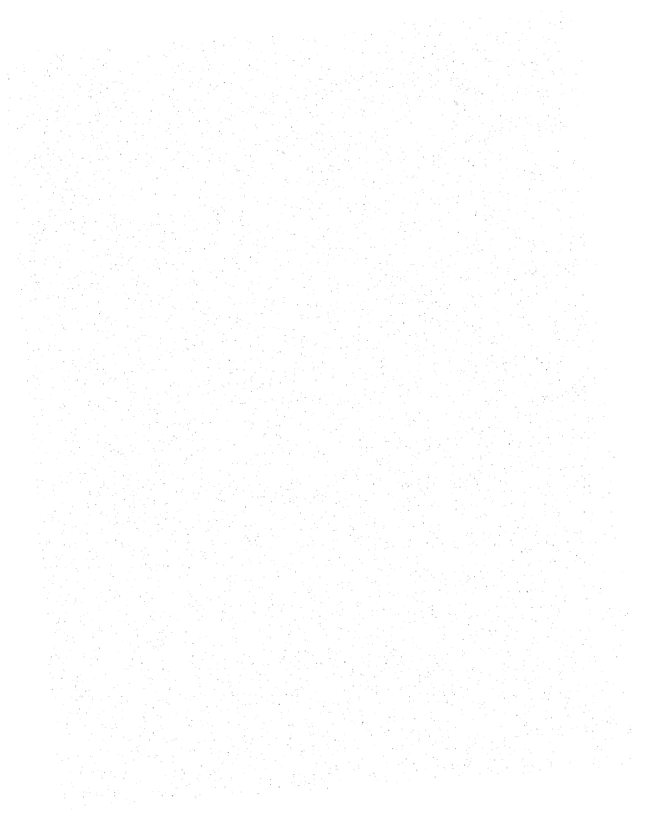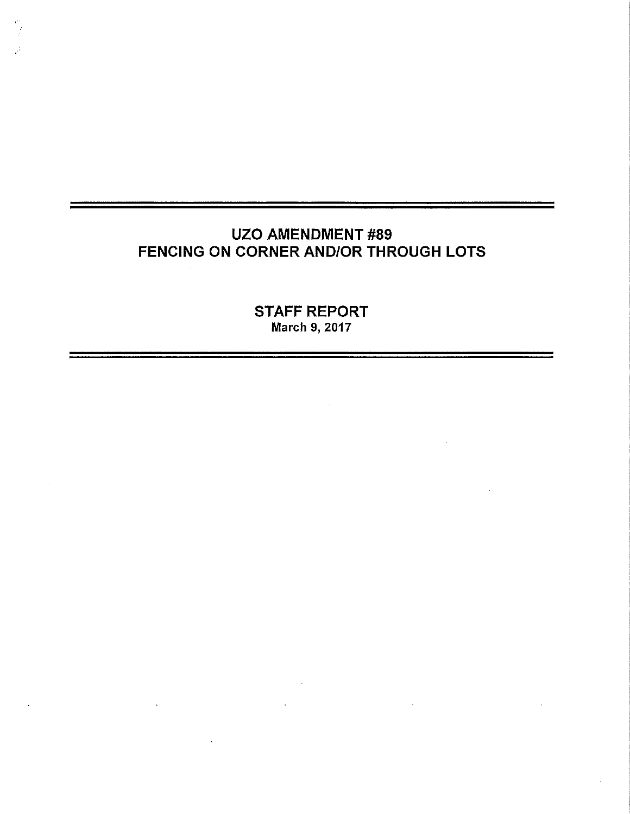# UZO AMENDMENT #89 FENCING ON CORNER AND/OR THROUGH LOTS

STAFF REPORT March 9, 2017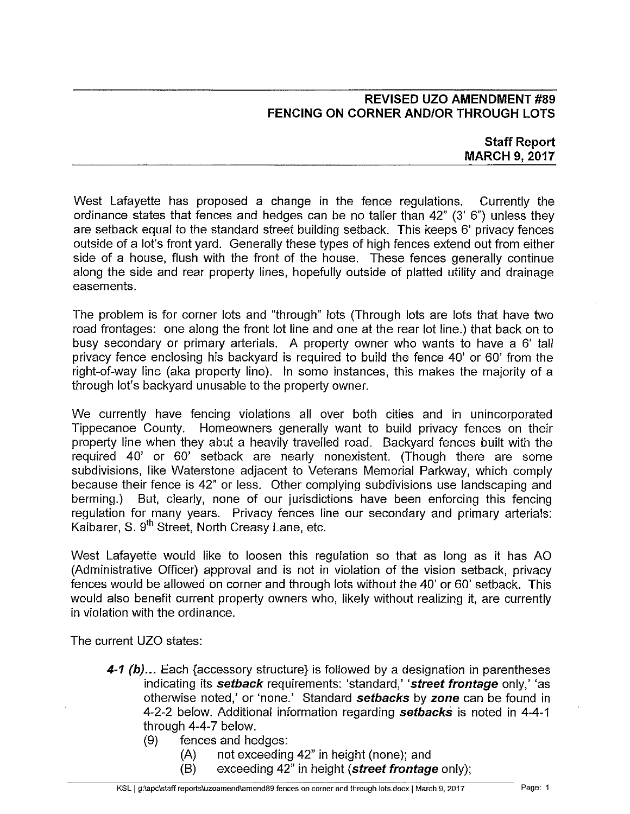## **REVISED UZO AMENDMENT #89 FENCING ON CORNER AND/OR THROUGH LOTS**

### **Staff Report MARCH 9, 2017**

West Lafayette has proposed a change in the fence regulations. Currently the ordinance states that fences and hedges can be no taller than 42" (3' 6") unless they are setback equal to the standard street building setback. This keeps 6' privacy fences outside of a lot's front yard. Generally these types of high fences extend out from either side of a house, flush with the front of the house. These fences generally continue along the side and rear property lines, hopefully outside of platted utility and drainage easements.

The problem is for corner lots and "through" lots (Through lots are lots that have two road frontages: one along the front lot line and one at the rear lot line.) that back on to busy secondary or primary arterials. A property owner who wants to have a 6' tall privacy fence enclosing his backyard is required to build the fence 40' or 60' from the right-of-way line (aka property line). In some instances, this makes the majority of a through lot's backyard unusable to the property owner.

We currently have fencing violations all over both cities and in unincorporated Tippecanoe County. Homeowners generally want to build privacy fences on their property line when they abut a heavily travelled road. Backyard fences built with the required 40' or 60' setback are nearly nonexistent. (Though there are some subdivisions, like Waterstone adjacent to Veterans Memorial Parkway, which comply because their fence is 42" or less. Other complying subdivisions use landscaping and berming.) But, clearly, none of our jurisdictions have been enforcing this fencing regulation for many years. Privacy fences line our secondary and primary arterials: Kalbarer, S. 9<sup>th</sup> Street, North Creasy Lane, etc.

West Lafayette would like to loosen this regulation so that as long as it has AO (Administrative Officer) approval and is not in violation of the vision setback, privacy fences would be allowed on corner and through lots without the 40' or 60' setback. This would also benefit current property owners who, likely without realizing it, are currently in violation with the ordinance.

The current UZO states:

- **4-1 (b)...** Each {accessory structure} is followed by a designation in parentheses indicating its **setback** requirements: 'standard,' **'street frontage** only,' 'as otherwise noted,' or 'none.' Standard **setbacks by zone** can be found in 4-2-2 below. Additional information regarding **setbacks** is noted in 4-4-1 through 4-4-7 below.
	- (9) fences and hedges:
		- (A) not exceeding 42" in height (none); and
		- (B) exceeding 42" in height **(street frontage** only);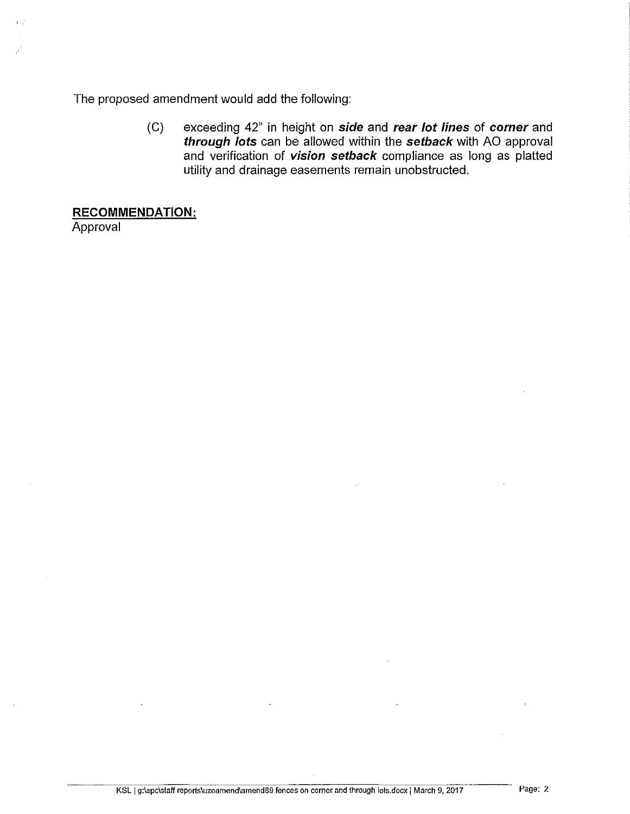The proposed amendment would add the following:

(C) exceeding 42" in height on **side** and **rear lot lines of corner** and **through lots** can be allowed within the **setback** with AO approval and verification of **vision setback** compliance as long as platted utility and drainage easements remain unobstructed.

# **RECOMMENDATION:**

Approval